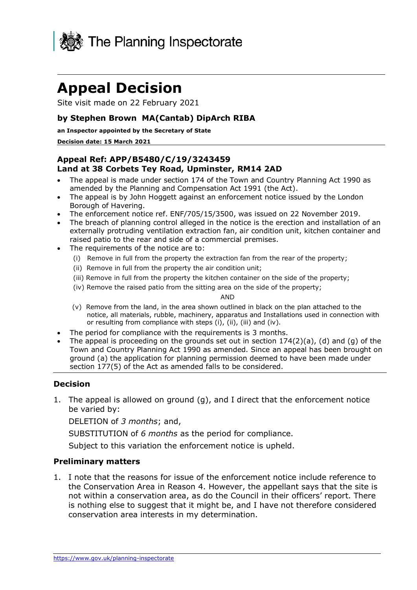

# **Appeal Decision**

Site visit made on 22 February 2021

## **by Stephen Brown MA(Cantab) DipArch RIBA**

#### **an Inspector appointed by the Secretary of State**

#### **Decision date: 15 March 2021**

## **Appeal Ref: APP/B5480/C/19/3243459 Land at 38 Corbets Tey Road, Upminster, RM14 2AD**

- • The appeal is made under section 174 of the Town and Country Planning Act 1990 as amended by the Planning and Compensation Act 1991 (the Act).
- • The appeal is by John Hoggett against an enforcement notice issued by the London Borough of Havering.
- The enforcement notice ref. ENF/705/15/3500, was issued on 22 November 2019.
- • The breach of planning control alleged in the notice is the erection and installation of an externally protruding ventilation extraction fan, air condition unit, kitchen container and raised patio to the rear and side of a commercial premises.
- • The requirements of the notice are to:
	- (i) Remove in full from the property the extraction fan from the rear of the property;
	- (ii) Remove in full from the property the air condition unit;
	- (iii) Remove in full from the property the kitchen container on the side of the property;
	- (iv) Remove the raised patio from the sitting area on the side of the property;

#### AND

- (v) Remove from the land, in the area shown outlined in black on the plan attached to the notice, all materials, rubble, machinery, apparatus and Installations used in connection with or resulting from compliance with steps (i), (ii), (iii) and (iv).
- The period for compliance with the requirements is 3 months.
- • The appeal is proceeding on the grounds set out in section 174(2)(a), (d) and (g) of the Town and Country Planning Act 1990 as amended. Since an appeal has been brought on ground (a) the application for planning permission deemed to have been made under section 177(5) of the Act as amended falls to be considered.

### **Decision**

 1. The appeal is allowed on ground (g), and I direct that the enforcement notice be varied by:

DELETION of *3 months*; and,

SUBSTITUTION of *6 months* as the period for compliance.

Subject to this variation the enforcement notice is upheld.

### **Preliminary matters**

 1. I note that the reasons for issue of the enforcement notice include reference to the Conservation Area in Reason 4. However, the appellant says that the site is not within a conservation area, as do the Council in their officers' report. There is nothing else to suggest that it might be, and I have not therefore considered conservation area interests in my determination.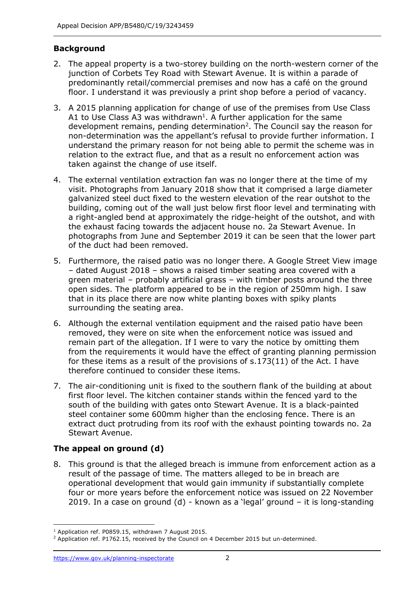## **Background**

- 2. The appeal property is a two-storey building on the north-western corner of the predominantly retail/commercial premises and now has a café on the ground floor. I understand it was previously a print shop before a period of vacancy. junction of Corbets Tey Road with Stewart Avenue. It is within a parade of
- 3. A 2015 planning application for change of use of the premises from Use Class A1 to Use Class A3 was withdrawn<sup>1</sup>. A further application for the same development remains, pending determination<sup>2</sup>. The Council say the reason for non-determination was the appellant's refusal to provide further information. I understand the primary reason for not being able to permit the scheme was in relation to the extract flue, and that as a result no enforcement action was taken against the change of use itself.
- 4. The external ventilation extraction fan was no longer there at the time of my visit. Photographs from January 2018 show that it comprised a large diameter galvanized steel duct fixed to the western elevation of the rear outshot to the building, coming out of the wall just below first floor level and terminating with a right-angled bend at approximately the ridge-height of the outshot, and with the exhaust facing towards the adjacent house no. 2a Stewart Avenue. In photographs from June and September 2019 it can be seen that the lower part of the duct had been removed.
- 5. Furthermore, the raised patio was no longer there. A Google Street View image – dated August 2018 – shows a raised timber seating area covered with a green material – probably artificial grass – with timber posts around the three open sides. The platform appeared to be in the region of 250mm high. I saw that in its place there are now white planting boxes with spiky plants surrounding the seating area.
- 6. Although the external ventilation equipment and the raised patio have been removed, they were on site when the enforcement notice was issued and remain part of the allegation. If I were to vary the notice by omitting them from the requirements it would have the effect of granting planning permission for these items as a result of the provisions of s.173(11) of the Act. I have therefore continued to consider these items.
- 7. The air-conditioning unit is fixed to the southern flank of the building at about first floor level. The kitchen container stands within the fenced yard to the south of the building with gates onto Stewart Avenue. It is a black-painted steel container some 600mm higher than the enclosing fence. There is an extract duct protruding from its roof with the exhaust pointing towards no. 2a Stewart Avenue.

# **The appeal on ground (d)**

 8. This ground is that the alleged breach is immune from enforcement action as a result of the passage of time. The matters alleged to be in breach are operational development that would gain immunity if substantially complete four or more years before the enforcement notice was issued on 22 November 2019. In a case on ground (d) - known as a 'legal' ground – it is long-standing

 $^{\rm 1}$  Application ref. P0859.15, withdrawn 7 August 2015.<br><sup>2</sup> Application ref. P1762.15, received by the Council on 4 December 2015 but un-determined.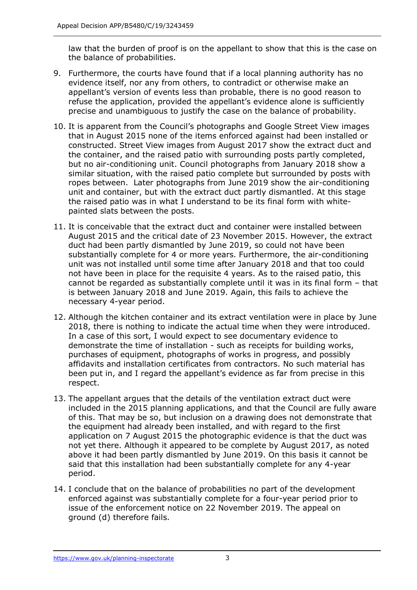law that the burden of proof is on the appellant to show that this is the case on the balance of probabilities.

- 9. Furthermore, the courts have found that if a local planning authority has no evidence itself, nor any from others, to contradict or otherwise make an appellant's version of events less than probable, there is no good reason to refuse the application, provided the appellant's evidence alone is sufficiently precise and unambiguous to justify the case on the balance of probability.
- 10. It is apparent from the Council's photographs and Google Street View images that in August 2015 none of the items enforced against had been installed or constructed. Street View images from August 2017 show the extract duct and but no air-conditioning unit. Council photographs from January 2018 show a similar situation, with the raised patio complete but surrounded by posts with ropes between. Later photographs from June 2019 show the air-conditioning unit and container, but with the extract duct partly dismantled. At this stage the raised patio was in what I understand to be its final form with whitethe container, and the raised patio with surrounding posts partly completed, painted slats between the posts.
- 11. It is conceivable that the extract duct and container were installed between August 2015 and the critical date of 23 November 2015. However, the extract duct had been partly dismantled by June 2019, so could not have been substantially complete for 4 or more years. Furthermore, the air-conditioning unit was not installed until some time after January 2018 and that too could not have been in place for the requisite 4 years. As to the raised patio, this cannot be regarded as substantially complete until it was in its final form – that is between January 2018 and June 2019. Again, this fails to achieve the necessary 4-year period.
- 12. Although the kitchen container and its extract ventilation were in place by June 2018, there is nothing to indicate the actual time when they were introduced. In a case of this sort, I would expect to see documentary evidence to demonstrate the time of installation - such as receipts for building works, purchases of equipment, photographs of works in progress, and possibly been put in, and I regard the appellant's evidence as far from precise in this affidavits and installation certificates from contractors. No such material has respect.
- 13. The appellant argues that the details of the ventilation extract duct were included in the 2015 planning applications, and that the Council are fully aware of this. That may be so, but inclusion on a drawing does not demonstrate that the equipment had already been installed, and with regard to the first application on 7 August 2015 the photographic evidence is that the duct was not yet there. Although it appeared to be complete by August 2017, as noted above it had been partly dismantled by June 2019. On this basis it cannot be said that this installation had been substantially complete for any 4-year period.
- 14. I conclude that on the balance of probabilities no part of the development enforced against was substantially complete for a four-year period prior to issue of the enforcement notice on 22 November 2019. The appeal on ground (d) therefore fails.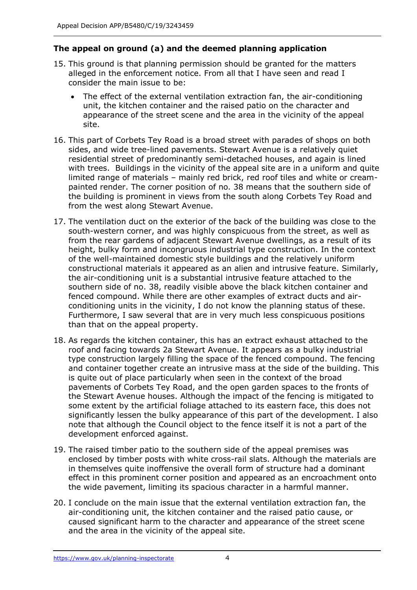## **The appeal on ground (a) and the deemed planning application**

- 15. This ground is that planning permission should be granted for the matters alleged in the enforcement notice. From all that I have seen and read I consider the main issue to be:
	- • The effect of the external ventilation extraction fan, the air-conditioning unit, the kitchen container and the raised patio on the character and appearance of the street scene and the area in the vicinity of the appeal site.
- 16. This part of Corbets Tey Road is a broad street with parades of shops on both sides, and wide tree-lined pavements. Stewart Avenue is a relatively quiet residential street of predominantly semi-detached houses, and again is lined with trees. Buildings in the vicinity of the appeal site are in a uniform and quite limited range of materials – mainly red brick, red roof tiles and white or cream- painted render. The corner position of no. 38 means that the southern side of the building is prominent in views from the south along Corbets Tey Road and from the west along Stewart Avenue.
- 17. The ventilation duct on the exterior of the back of the building was close to the south-western corner, and was highly conspicuous from the street, as well as from the rear gardens of adjacent Stewart Avenue dwellings, as a result of its the air-conditioning unit is a substantial intrusive feature attached to the southern side of no. 38, readily visible above the black kitchen container and fenced compound. While there are other examples of extract ducts and air- conditioning units in the vicinity, I do not know the planning status of these. Furthermore, I saw several that are in very much less conspicuous positions than that on the appeal property. height, bulky form and incongruous industrial type construction. In the context of the well-maintained domestic style buildings and the relatively uniform constructional materials it appeared as an alien and intrusive feature. Similarly,
- 18. As regards the kitchen container, this has an extract exhaust attached to the roof and facing towards 2a Stewart Avenue. It appears as a bulky industrial type construction largely filling the space of the fenced compound. The fencing and container together create an intrusive mass at the side of the building. This is quite out of place particularly when seen in the context of the broad pavements of Corbets Tey Road, and the open garden spaces to the fronts of the Stewart Avenue houses. Although the impact of the fencing is mitigated to some extent by the artificial foliage attached to its eastern face, this does not significantly lessen the bulky appearance of this part of the development. I also note that although the Council object to the fence itself it is not a part of the development enforced against.
- 19. The raised timber patio to the southern side of the appeal premises was enclosed by timber posts with white cross-rail slats. Although the materials are in themselves quite inoffensive the overall form of structure had a dominant effect in this prominent corner position and appeared as an encroachment onto the wide pavement, limiting its spacious character in a harmful manner.
- 20. I conclude on the main issue that the external ventilation extraction fan, the air-conditioning unit, the kitchen container and the raised patio cause, or caused significant harm to the character and appearance of the street scene and the area in the vicinity of the appeal site.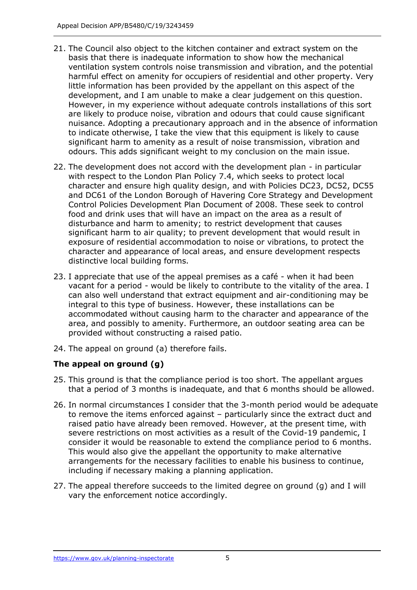- 21. The Council also object to the kitchen container and extract system on the basis that there is inadequate information to show how the mechanical ventilation system controls noise transmission and vibration, and the potential harmful effect on amenity for occupiers of residential and other property. Very little information has been provided by the appellant on this aspect of the development, and I am unable to make a clear judgement on this question. However, in my experience without adequate controls installations of this sort are likely to produce noise, vibration and odours that could cause significant nuisance. Adopting a precautionary approach and in the absence of information to indicate otherwise, I take the view that this equipment is likely to cause significant harm to amenity as a result of noise transmission, vibration and odours. This adds significant weight to my conclusion on the main issue.
- 22. The development does not accord with the development plan in particular character and ensure high quality design, and with Policies DC23, DC52, DC55 and DC61 of the London Borough of Havering Core Strategy and Development Control Policies Development Plan Document of 2008. These seek to control food and drink uses that will have an impact on the area as a result of disturbance and harm to amenity; to restrict development that causes significant harm to air quality; to prevent development that would result in exposure of residential accommodation to noise or vibrations, to protect the character and appearance of local areas, and ensure development respects distinctive local building forms. with respect to the London Plan Policy 7.4, which seeks to protect local
- 23. I appreciate that use of the appeal premises as a café when it had been vacant for a period - would be likely to contribute to the vitality of the area. I can also well understand that extract equipment and air-conditioning may be accommodated without causing harm to the character and appearance of the area, and possibly to amenity. Furthermore, an outdoor seating area can be provided without constructing a raised patio. integral to this type of business. However, these installations can be
- 24. The appeal on ground (a) therefore fails.

## **The appeal on ground (g)**

- 25. This ground is that the compliance period is too short. The appellant argues that a period of 3 months is inadequate, and that 6 months should be allowed.
- 26. In normal circumstances I consider that the 3-month period would be adequate to remove the items enforced against – particularly since the extract duct and raised patio have already been removed. However, at the present time, with severe restrictions on most activities as a result of the Covid-19 pandemic, I consider it would be reasonable to extend the compliance period to 6 months. This would also give the appellant the opportunity to make alternative arrangements for the necessary facilities to enable his business to continue, including if necessary making a planning application.
- 27. The appeal therefore succeeds to the limited degree on ground (g) and I will vary the enforcement notice accordingly.